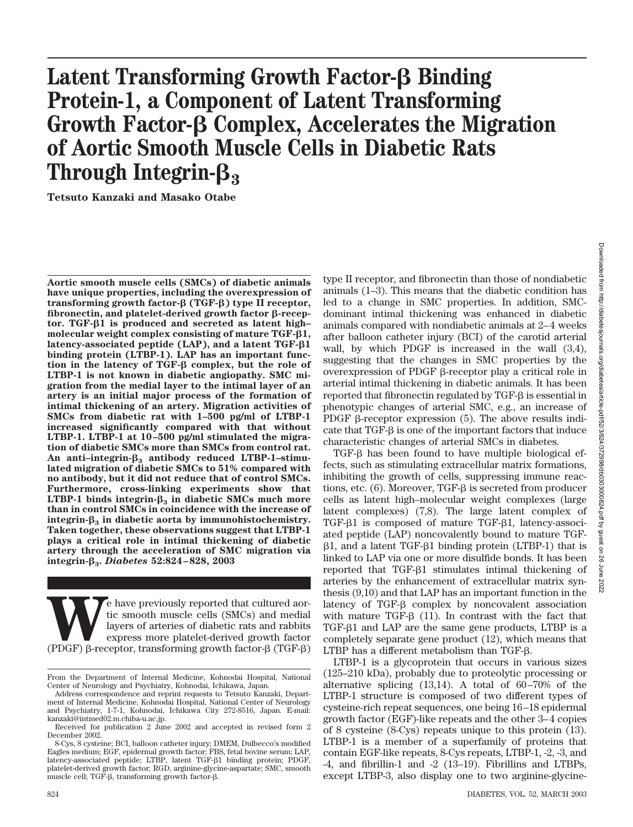# **Latent Transforming Growth Factor-β Binding Protein-1, a Component of Latent Transforming Growth Factor- Complex, Accelerates the Migration of Aortic Smooth Muscle Cells in Diabetic Rats Through Integrin-<sup>3</sup>**

**Tetsuto Kanzaki and Masako Otabe**

**Aortic smooth muscle cells (SMCs) of diabetic animals have unique properties, including the overexpression of transforming growth factor- (TGF-) type II receptor, fibronectin, and platelet-derived growth factor β-receptor. TGF-1 is produced and secreted as latent high– molecular weight complex consisting of mature TGF-1, latency-associated peptide (LAP), and a latent TGF-1 binding protein (LTBP-1). LAP has an important function in the latency of TGF- complex, but the role of LTBP-1 is not known in diabetic angiopathy. SMC migration from the medial layer to the intimal layer of an artery is an initial major process of the formation of intimal thickening of an artery. Migration activities of SMCs from diabetic rat with 1–500 pg/ml of LTBP-1 increased significantly compared with that without LTBP-1. LTBP-1 at 10–500 pg/ml stimulated the migration of diabetic SMCs more than SMCs from control rat. An anti–integrin-<sup>3</sup> antibody reduced LTBP-1–stimulated migration of diabetic SMCs to 51% compared with no antibody, but it did not reduce that of control SMCs. Furthermore, cross-linking experiments show that LTBP-1** binds integrin- $\beta_3$  in diabetic SMCs much more **than in control SMCs in coincidence with the increase of integrin-<sup>3</sup> in diabetic aorta by immunohistochemistry. Taken together, these observations suggest that LTBP-1 plays a critical role in intimal thickening of diabetic artery through the acceleration of SMC migration via integrin-3.** *Diabetes* **52:824–828, 2003**

Experiency reported that cultured aordic smooth muscle cells (SMCs) and medial layers of arteries of diabetic rats and rabbits express more platelet-derived growth factor-<br>(PDGF)  $\beta$ -receptor, transforming growth factortic smooth muscle cells (SMCs) and medial layers of arteries of diabetic rats and rabbits express more platelet-derived growth factor type II receptor, and fibronectin than those of nondiabetic animals (1–3). This means that the diabetic condition has led to a change in SMC properties. In addition, SMCdominant intimal thickening was enhanced in diabetic animals compared with nondiabetic animals at 2–4 weeks after balloon catheter injury (BCI) of the carotid arterial wall, by which PDGF is increased in the wall (3,4), suggesting that the changes in SMC properties by the overexpression of PDGF β-receptor play a critical role in arterial intimal thickening in diabetic animals. It has been reported that fibronectin regulated by TGF- $\beta$  is essential in phenotypic changes of arterial SMC, e.g., an increase of PDGF  $\beta$ -receptor expression (5). The above results indicate that  $TGF-\beta$  is one of the important factors that induce characteristic changes of arterial SMCs in diabetes.

 $TGF-B$  has been found to have multiple biological effects, such as stimulating extracellular matrix formations, inhibiting the growth of cells, suppressing immune reactions, etc.  $(6)$ . Moreover, TGF- $\beta$  is secreted from producer cells as latent high–molecular weight complexes (large latent complexes) (7,8). The large latent complex of  $TGF- $\beta$ 1 is composed of mature TGF- $\beta$ 1, latency-associated$ ated peptide (LAP) noncovalently bound to mature TGF-  $\beta$ 1, and a latent TGF- $\beta$ 1 binding protein (LTBP-1) that is linked to LAP via one or more disulfide bonds. It has been reported that  $TGF- $\beta$ 1 stimulus test initial thickening of$ arteries by the enhancement of extracellular matrix synthesis (9,10) and that LAP has an important function in the latency of  $TGF- $\beta$  complex by noncovalent association$ with mature TGF- $\beta$  (11). In contrast with the fact that  $TGF- $\beta$ 1 and LAP are the same gene products, LTBP is a$ completely separate gene product (12), which means that  $LTBP$  has a different metabolism than TGF- $\beta$ .

LTBP-1 is a glycoprotein that occurs in various sizes (125–210 kDa), probably due to proteolytic processing or alternative splicing (13,14). A total of 60–70% of the LTBP-1 structure is composed of two different types of cysteine-rich repeat sequences, one being 16–18 epidermal growth factor (EGF)-like repeats and the other 3–4 copies of 8 cysteine (8-Cys) repeats unique to this protein (13). LTBP-1 is a member of a superfamily of proteins that contain EGF-like repeats, 8-Cys repeats, LTBP-1, -2, -3, and -4, and fibrillin-1 and -2 (13–19). Fibrillins and LTBPs, except LTBP-3, also display one to two arginine-glycine-

From the Department of Internal Medicine, Kohnodai Hospital, National Center of Neurology and Psychiatry, Kohnodai, Ichikawa, Japan.

Address correspondence and reprint requests to Tetsuto Kanzaki, Department of Internal Medicine, Kohnodai Hospital, National Center of Neurology and Psychiatry, 1-7-1, Kohnodai, Ichikawa City 272-8516, Japan. E-mail: kanzaki@intmed02.m.chiba-u.ac.jp.

Received for publication 2 June 2002 and accepted in revised form 2 December 2002.

<sup>8-</sup>Cys, 8 cysteine; BCI, balloon catheter injury; DMEM, Dulbecco's modified Eagles medium; EGF, epidermal growth factor; FBS, fetal bovine serum; LAP, latency-associated peptide; LTBP, latent TGF- $\beta$ 1 binding protein; PDGF, platelet-derived growth factor; RGD, arginine-glycine-aspartate; SMC, smooth muscle cell; TGF- $\beta$ , transforming growth factor- $\beta$ .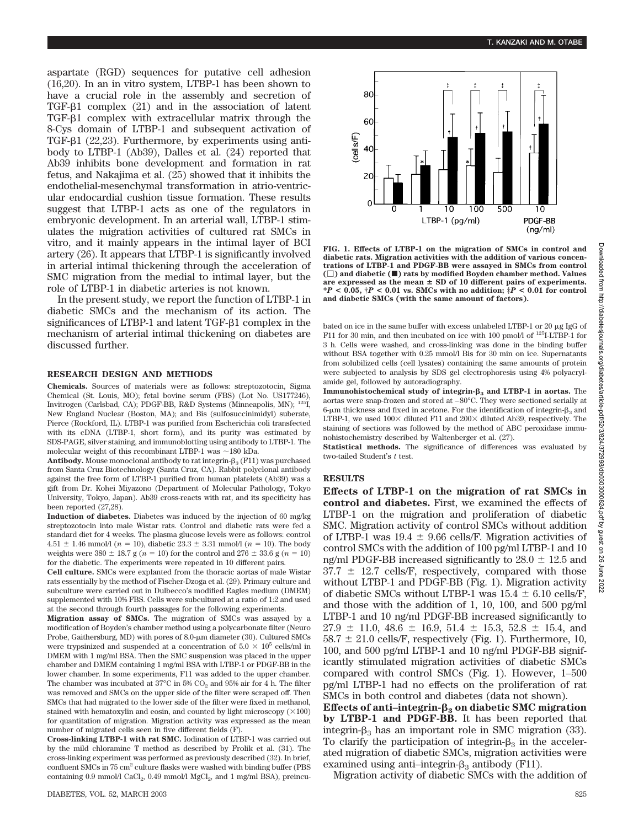aspartate (RGD) sequences for putative cell adhesion (16,20). In an in vitro system, LTBP-1 has been shown to have a crucial role in the assembly and secretion of TGF- $\beta$ 1 complex (21) and in the association of latent  $TGF- $\beta$ 1 complex with extracellular matrix through the$ 8-Cys domain of LTBP-1 and subsequent activation of TGF- $\beta$ 1 (22,23). Furthermore, by experiments using antibody to LTBP-1 (Ab39), Dalles et al. (24) reported that Ab39 inhibits bone development and formation in rat fetus, and Nakajima et al. (25) showed that it inhibits the endothelial-mesenchymal transformation in atrio-ventricular endocardial cushion tissue formation. These results suggest that LTBP-1 acts as one of the regulators in embryonic development. In an arterial wall, LTBP-1 stimulates the migration activities of cultured rat SMCs in vitro, and it mainly appears in the intimal layer of BCI artery (26). It appears that LTBP-1 is significantly involved in arterial intimal thickening through the acceleration of SMC migration from the medial to intimal layer, but the role of LTBP-1 in diabetic arteries is not known.

In the present study, we report the function of LTBP-1 in diabetic SMCs and the mechanism of its action. The significances of LTBP-1 and latent  $TGF- $\beta$ 1 complex in the$ mechanism of arterial intimal thickening on diabetes are discussed further.

### **RESEARCH DESIGN AND METHODS**

**Chemicals.** Sources of materials were as follows: streptozotocin, Sigma Chemical (St. Louis, MO); fetal bovine serum (FBS) (Lot No. US177246), Invitrogen (Carlsbad, CA); PDGF-BB, R&D Systems (Minneapolis, MN); 125I, New England Nuclear (Boston, MA); and Bis (sulfosuccinimidyl) suberate, Pierce (Rockford, IL). LTBP-1 was purified from Escherichia coli transfected with its cDNA (LTBP-1, short form), and its purity was estimated by SDS-PAGE, silver staining, and immunoblotting using antibody to LTBP-1. The molecular weight of this recombinant LTBP-1 was  $\sim$ 180 kDa.

**Antibody.** Mouse monoclonal antibody to rat integrin- $\beta_3$  (F11) was purchased from Santa Cruz Biotechnology (Santa Cruz, CA). Rabbit polyclonal antibody against the free form of LTBP-1 purified from human platelets (Ab39) was a gift from Dr. Kohei Miyazono (Department of Molecular Pathology, Tokyo University, Tokyo, Japan). Ab39 cross-reacts with rat, and its specificity has been reported (27,28).

**Induction of diabetes.** Diabetes was induced by the injection of 60 mg/kg streptozotocin into male Wistar rats. Control and diabetic rats were fed a standard diet for 4 weeks. The plasma glucose levels were as follows: control  $4.51 \pm 1.46$  mmol/l ( $n = 10$ ), diabetic 23.3  $\pm$  3.31 mmol/l ( $n = 10$ ). The body weights were 380  $\pm$  18.7 g ( $n = 10$ ) for the control and 276  $\pm$  33.6 g ( $n = 10$ ) for the diabetic. The experiments were repeated in 10 different pairs.

**Cell culture.** SMCs were explanted from the thoracic aortas of male Wistar rats essentially by the method of Fischer-Dzoga et al. (29). Primary culture and subculture were carried out in Dulbecco's modified Eagles medium (DMEM) supplemented with 10% FBS. Cells were subcultured at a ratio of 1:2 and used at the second through fourth passages for the following experiments.

**Migration assay of SMCs.** The migration of SMCs was assayed by a modification of Boyden's chamber method using a polycarbonate filter (Neuro Probe, Gaithersburg, MD) with pores of 8.0-µm diameter (30). Cultured SMCs were trypsinized and suspended at a concentration of  $5.0 \times 10^5$  cells/ml in DMEM with 1 mg/ml BSA. Then the SMC suspension was placed in the upper chamber and DMEM containing 1 mg/ml BSA with LTBP-1 or PDGF-BB in the lower chamber. In some experiments, F11 was added to the upper chamber. The chamber was incubated at  $37^{\circ}$ C in 5% CO<sub>2</sub> and 95% air for 4 h. The filter was removed and SMCs on the upper side of the filter were scraped off. Then SMCs that had migrated to the lower side of the filter were fixed in methanol, stained with hematoxylin and eosin, and counted by light microscopy  $(\times 100)$ for quantitation of migration. Migration activity was expressed as the mean number of migrated cells seen in five different fields (F).

**Cross-linking LTBP-1 with rat SMC.** Iodination of LTBP-1 was carried out by the mild chloramine T method as described by Frolik et al. (31). The cross-linking experiment was performed as previously described (32). In brief, confluent SMCs in 75 cm<sup>2</sup> culture flasks were washed with binding buffer (PBS containing 0.9 mmol/l CaCl<sub>2</sub>, 0.49 mmol/l MgCl<sub>2</sub>, and 1 mg/ml BSA), preincu-



**FIG. 1. Effects of LTBP-1 on the migration of SMCs in control and diabetic rats. Migration activities with the addition of various concentrations of LTBP-1 and PDGF-BB were assayed in SMCs from control () and diabetic (**f**) rats by modified Boyden chamber method. Values** are expressed as the mean  $\pm$  SD of 10 different pairs of experiments. **\****P* **< 0.05, †***P* **< 0.01 vs. SMCs with no addition; ‡***P* **< 0.01 for control and diabetic SMCs (with the same amount of factors).**

bated on ice in the same buffer with excess unlabeled LTBP-1 or  $20 \mu g$  IgG of F11 for 30 min, and then incubated on ice with 100 pmol/l of <sup>125</sup>I-LTBP-1 for 3 h. Cells were washed, and cross-linking was done in the binding buffer without BSA together with 0.25 mmol/l Bis for 30 min on ice. Supernatants from solubilized cells (cell lysates) containing the same amounts of protein were subjected to analysis by SDS gel electrophoresis using 4% polyacrylamide gel, followed by autoradiography.

**Immunohistochemical study of integrin-<sup>3</sup> and LTBP-1 in aortas.** The aortas were snap-frozen and stored at –80°C. They were sectioned serially at 6-µm thickness and fixed in acetone. For the identification of integrin- $\beta_3$  and LTBP-1, we used  $100\times$  diluted F11 and  $200\times$  diluted Ab39, respectively. The staining of sections was followed by the method of ABC peroxidase immunohistochemistry described by Waltenberger et al. (27).

**Statistical methods.** The significance of differences was evaluated by two-tailed Student's *t* test.

### **RESULTS**

**Effects of LTBP-1 on the migration of rat SMCs in control and diabetes.** First, we examined the effects of LTBP-1 on the migration and proliferation of diabetic SMC. Migration activity of control SMCs without addition of LTBP-1 was  $19.4 \pm 9.66$  cells/F. Migration activities of control SMCs with the addition of 100 pg/ml LTBP-1 and 10 ng/ml PDGF-BB increased significantly to  $28.0 \pm 12.5$  and  $37.7 \pm 12.7$  cells/F, respectively, compared with those without LTBP-1 and PDGF-BB (Fig. 1). Migration activity of diabetic SMCs without LTBP-1 was  $15.4 \pm 6.10$  cells/F, and those with the addition of 1, 10, 100, and 500 pg/ml LTBP-1 and 10 ng/ml PDGF-BB increased significantly to  $27.9 \pm 11.0$ ,  $48.6 \pm 16.9$ ,  $51.4 \pm 15.3$ ,  $52.8 \pm 15.4$ , and  $58.7 \pm 21.0$  cells/F, respectively (Fig. 1). Furthermore, 10, 100, and 500 pg/ml LTBP-1 and 10 ng/ml PDGF-BB significantly stimulated migration activities of diabetic SMCs compared with control SMCs (Fig. 1). However, 1–500 pg/ml LTBP-1 had no effects on the proliferation of rat SMCs in both control and diabetes (data not shown).

Effects of anti-integrin- $\beta_3$  on diabetic SMC migration **by LTBP-1 and PDGF-BB.** It has been reported that integrin- $\beta_3$  has an important role in SMC migration (33). To clarify the participation of integrin- $\beta_3$  in the accelerated migration of diabetic SMCs, migration activities were examined using anti-integrin- $\beta_3$  antibody (F11).

Migration activity of diabetic SMCs with the addition of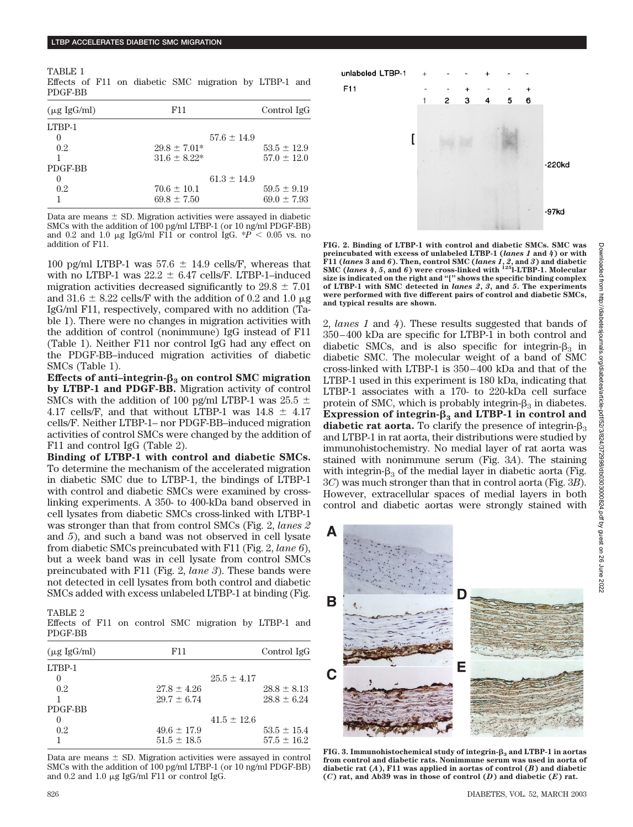TABLE 1 Effects of F11 on diabetic SMC migration by LTBP-1 and PDGF-BB

| $(\mu g \text{ IgG/ml})$ | F11              | Control IgG     |
|--------------------------|------------------|-----------------|
| LTBP-1                   |                  |                 |
| $\theta$                 | $57.6 \pm 14.9$  |                 |
| 0.2                      | $29.8 \pm 7.01*$ | $53.5 \pm 12.9$ |
|                          | $31.6 \pm 8.22*$ | $57.0 \pm 12.0$ |
| PDGF-BB                  |                  |                 |
|                          | $61.3 \pm 14.9$  |                 |
| 0.2                      | $70.6 \pm 10.1$  | $59.5 \pm 9.19$ |
|                          | $69.8 \pm 7.50$  | $69.0 \pm 7.93$ |

Data are means  $\pm$  SD. Migration activities were assayed in diabetic SMCs with the addition of 100 pg/ml LTBP-1 (or 10 ng/ml PDGF-BB) and 0.2 and 1.0  $\mu$ g IgG/ml F11 or control IgG.  $*P < 0.05$  vs. no addition of F11.

100 pg/ml LTBP-1 was  $57.6 \pm 14.9$  cells/F, whereas that with no LTBP-1 was  $22.2 \pm 6.47$  cells/F. LTBP-1–induced migration activities decreased significantly to  $29.8 \pm 7.01$ and 31.6  $\pm$  8.22 cells/F with the addition of 0.2 and 1.0  $\mu$ g IgG/ml F11, respectively, compared with no addition (Table 1). There were no changes in migration activities with the addition of control (nonimmune) IgG instead of F11 (Table 1). Neither F11 nor control IgG had any effect on the PDGF-BB–induced migration activities of diabetic SMCs (Table 1).

Effects of anti-integrin- $\beta_3$  on control SMC migration **by LTBP-1 and PDGF-BB.** Migration activity of control SMCs with the addition of 100 pg/ml LTBP-1 was 25.5  $\pm$ 4.17 cells/F, and that without LTBP-1 was  $14.8 \pm 4.17$ cells/F. Neither LTBP-1– nor PDGF-BB–induced migration activities of control SMCs were changed by the addition of F11 and control IgG (Table 2).

**Binding of LTBP-1 with control and diabetic SMCs.** To determine the mechanism of the accelerated migration in diabetic SMC due to LTBP-1, the bindings of LTBP-1 with control and diabetic SMCs were examined by crosslinking experiments. A 350- to 400-kDa band observed in cell lysates from diabetic SMCs cross-linked with LTBP-1 was stronger than that from control SMCs (Fig. 2, *lanes 2* and *5*), and such a band was not observed in cell lysate from diabetic SMCs preincubated with F11 (Fig. 2, *lane 6*), but a week band was in cell lysate from control SMCs preincubated with F11 (Fig. 2, *lane 3*). These bands were not detected in cell lysates from both control and diabetic SMCs added with excess unlabeled LTBP-1 at binding (Fig.

TABLE 2

Effects of F11 on control SMC migration by LTBP-1 and PDGF-BB

| $(\mu g \text{ IgG/ml})$ | F11             |                 | Control IgG     |
|--------------------------|-----------------|-----------------|-----------------|
| LTBP-1                   |                 |                 |                 |
|                          |                 | $25.5 \pm 4.17$ |                 |
| 0.2 <sub>2</sub>         | $27.8 \pm 4.26$ |                 | $28.8 \pm 8.13$ |
|                          | $29.7 + 6.74$   |                 | $28.8 \pm 6.24$ |
| PDGF-BB                  |                 |                 |                 |
| $\mathbf{0}$             |                 | $41.5 \pm 12.6$ |                 |
| 0.2 <sub>2</sub>         | $49.6 \pm 17.9$ |                 | $53.5 \pm 15.4$ |
|                          | $51.5 \pm 18.5$ |                 | $57.5 \pm 16.2$ |

Data are means  $\pm$  SD. Migration activities were assayed in control SMCs with the addition of 100 pg/ml LTBP-1 (or 10 ng/ml PDGF-BB) and  $0.2$  and  $1.0 \mu$ g IgG/ml F11 or control IgG.



**FIG. 2. Binding of LTBP-1 with control and diabetic SMCs. SMC was preincubated with excess of unlabeled LTBP-1 (***lanes 1* **and** *4***) or with F11 (***lanes* **3 and** *6***). Then, control SMC (***lanes 1***,** *2***, and** *3***) and diabetic SMC (***lanes 4***,** *5***, and** *6***) were cross-linked with 125l-LTBP-1. Molecular size is indicated on the right and "[" shows the specific binding complex of LTBP-1 with SMC detected in** *lanes 2***,** *3***, and** *5***. The experiments were performed with five different pairs of control and diabetic SMCs, and typical results are shown.**

2, *lanes 1* and *4*). These results suggested that bands of 350–400 kDa are specific for LTBP-1 in both control and diabetic SMCs, and is also specific for integrin- $\beta_3$  in diabetic SMC. The molecular weight of a band of SMC cross-linked with LTBP-1 is 350–400 kDa and that of the LTBP-1 used in this experiment is 180 kDa, indicating that LTBP-1 associates with a 170- to 220-kDa cell surface protein of SMC, which is probably integrin- $\beta_3$  in diabetes. **Expression of integrin-** $\beta_3$  **and LTBP-1 in control and diabetic rat aorta.** To clarify the presence of integrin- $\beta_3$ and LTBP-1 in rat aorta, their distributions were studied by immunohistochemistry. No medial layer of rat aorta was stained with nonimmune serum (Fig. 3*A*). The staining with integrin- $\beta_3$  of the medial layer in diabetic aorta (Fig. 3*C*) was much stronger than that in control aorta (Fig. 3*B*). However, extracellular spaces of medial layers in both control and diabetic aortas were strongly stained with



**FIG. 3. Immunohistochemical study of integrin-<sup>3</sup> and LTBP-1 in aortas from control and diabetic rats. Nonimmune serum was used in aorta of diabetic rat (***A***), F11 was applied in aortas of control (***B***) and diabetic (***C***) rat, and Ab39 was in those of control (***D***) and diabetic (***E***) rat.**

B

C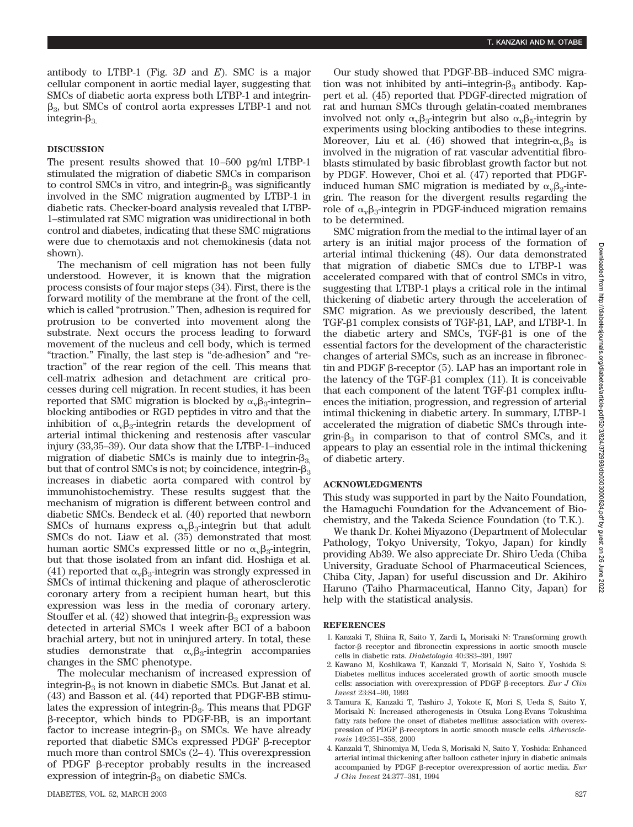antibody to LTBP-1 (Fig. 3*D* and *E*). SMC is a major cellular component in aortic medial layer, suggesting that SMCs of diabetic aorta express both LTBP-1 and integrin-  $\beta_3$ , but SMCs of control aorta expresses LTBP-1 and not integrin- $\beta_3$ 

# **DISCUSSION**

The present results showed that 10–500 pg/ml LTBP-1 stimulated the migration of diabetic SMCs in comparison to control SMCs in vitro, and integrin- $\beta_3$  was significantly involved in the SMC migration augmented by LTBP-1 in diabetic rats. Checker-board analysis revealed that LTBP-1–stimulated rat SMC migration was unidirectional in both control and diabetes, indicating that these SMC migrations were due to chemotaxis and not chemokinesis (data not shown).

The mechanism of cell migration has not been fully understood. However, it is known that the migration process consists of four major steps (34). First, there is the forward motility of the membrane at the front of the cell, which is called "protrusion." Then, adhesion is required for protrusion to be converted into movement along the substrate. Next occurs the process leading to forward movement of the nucleus and cell body, which is termed "traction." Finally, the last step is "de-adhesion" and "retraction" of the rear region of the cell. This means that cell-matrix adhesion and detachment are critical processes during cell migration. In recent studies, it has been reported that SMC migration is blocked by  $\alpha_{\rm v} \beta_3$ -integrin– blocking antibodies or RGD peptides in vitro and that the inhibition of  $\alpha_{\rm v} \beta_3$ -integrin retards the development of arterial intimal thickening and restenosis after vascular injury (33,35–39). Our data show that the LTBP-1–induced migration of diabetic SMCs is mainly due to integrin- $\beta_3$ but that of control SMCs is not; by coincidence, integrin- $\beta_3$ increases in diabetic aorta compared with control by immunohistochemistry. These results suggest that the mechanism of migration is different between control and diabetic SMCs. Bendeck et al. (40) reported that newborn SMCs of humans express  $\alpha_{\rm v} \beta_{3}$ -integrin but that adult SMCs do not. Liaw et al. (35) demonstrated that most human aortic SMCs expressed little or no  $\alpha_{\rm v} \beta_{3}$ -integrin, but that those isolated from an infant did. Hoshiga et al. (41) reported that  $\alpha_{\rm v}\beta_3$ -integrin was strongly expressed in SMCs of intimal thickening and plaque of atherosclerotic coronary artery from a recipient human heart, but this expression was less in the media of coronary artery. Stouffer et al.  $(42)$  showed that integrin- $\beta_3$  expression was detected in arterial SMCs 1 week after BCI of a baboon brachial artery, but not in uninjured artery. In total, these studies demonstrate that  $\alpha_{\rm v}\beta_3$ -integrin accompanies changes in the SMC phenotype.

The molecular mechanism of increased expression of integrin- $\beta_3$  is not known in diabetic SMCs. But Janat et al. (43) and Basson et al. (44) reported that PDGF-BB stimulates the expression of integrin- $\beta_3$ . This means that PDGF -receptor, which binds to PDGF-BB, is an important factor to increase integrin- $\beta_3$  on SMCs. We have already reported that diabetic SMCs expressed PDGF  $\beta$ -receptor much more than control SMCs (2–4). This overexpression of PDGF  $\beta$ -receptor probably results in the increased expression of integrin- $\beta_3$  on diabetic SMCs.

Our study showed that PDGF-BB–induced SMC migration was not inhibited by anti-integrin- $\beta_3$  antibody. Kappert et al. (45) reported that PDGF-directed migration of rat and human SMCs through gelatin-coated membranes involved not only  $\alpha_{\nu}\beta_3$ -integrin but also  $\alpha_{\nu}\beta_5$ -integrin by experiments using blocking antibodies to these integrins. Moreover, Liu et al. (46) showed that integrin- $\alpha_{\rm v}\beta_{3}$  is involved in the migration of rat vascular adventitial fibroblasts stimulated by basic fibroblast growth factor but not by PDGF. However, Choi et al. (47) reported that PDGFinduced human SMC migration is mediated by  $\alpha_{\rm v} \beta_{3}$ -integrin. The reason for the divergent results regarding the role of  $\alpha_{\rm v} \beta_3$ -integrin in PDGF-induced migration remains to be determined.

SMC migration from the medial to the intimal layer of an artery is an initial major process of the formation of arterial intimal thickening (48). Our data demonstrated that migration of diabetic SMCs due to LTBP-1 was accelerated compared with that of control SMCs in vitro, suggesting that LTBP-1 plays a critical role in the intimal thickening of diabetic artery through the acceleration of SMC migration. As we previously described, the latent TGF-81 complex consists of TGF-81, LAP, and LTBP-1. In the diabetic artery and SMCs,  $TGF- $\beta$ 1$  is one of the essential factors for the development of the characteristic changes of arterial SMCs, such as an increase in fibronectin and PDGF  $\beta$ -receptor (5). LAP has an important role in the latency of the TGF- $\beta$ 1 complex (11). It is conceivable that each component of the latent  $TGF- $\beta$ 1 complex influ$ ences the initiation, progression, and regression of arterial intimal thickening in diabetic artery. In summary, LTBP-1 accelerated the migration of diabetic SMCs through integrin- $\beta_3$  in comparison to that of control SMCs, and it appears to play an essential role in the intimal thickening of diabetic artery.

## **ACKNOWLEDGMENTS**

This study was supported in part by the Naito Foundation, the Hamaguchi Foundation for the Advancement of Biochemistry, and the Takeda Science Foundation (to T.K.).

We thank Dr. Kohei Miyazono (Department of Molecular Pathology, Tokyo University, Tokyo, Japan) for kindly providing Ab39. We also appreciate Dr. Shiro Ueda (Chiba University, Graduate School of Pharmaceutical Sciences, Chiba City, Japan) for useful discussion and Dr. Akihiro Haruno (Taiho Pharmaceutical, Hanno City, Japan) for help with the statistical analysis.

## **REFERENCES**

- 1. Kanzaki T, Shiina R, Saito Y, Zardi L, Morisaki N: Transforming growth factor- $\beta$  receptor and fibronectin expressions in aortic smooth muscle cells in diabetic rats. *Diabetologia* 40:383–391, 1997
- 2. Kawano M, Koshikawa T, Kanzaki T, Morisaki N, Saito Y, Yoshida S: Diabetes mellitus induces accelerated growth of aortic smooth muscle cells: association with overexpression of PDGF  $\beta$ -receptors. *Eur J Clin Invest* 23:84–90, 1993
- 3. Tamura K, Kanzaki T, Tashiro J, Yokote K, Mori S, Ueda S, Saito Y, Morisaki N: Increased atherogenesis in Otsuka Long-Evans Tokushima fatty rats before the onset of diabetes mellitus: association with overexpression of PDGF  $\beta$ -receptors in aortic smooth muscle cells. *Atherosclerosis* 149:351–358, 2000
- 4. Kanzaki T, Shinomiya M, Ueda S, Morisaki N, Saito Y, Yoshida: Enhanced arterial intimal thickening after balloon catheter injury in diabetic animals accompanied by PDGF  $\beta$ -receptor overexpression of aortic media. *Eur J Clin Invest* 24:377–381, 1994